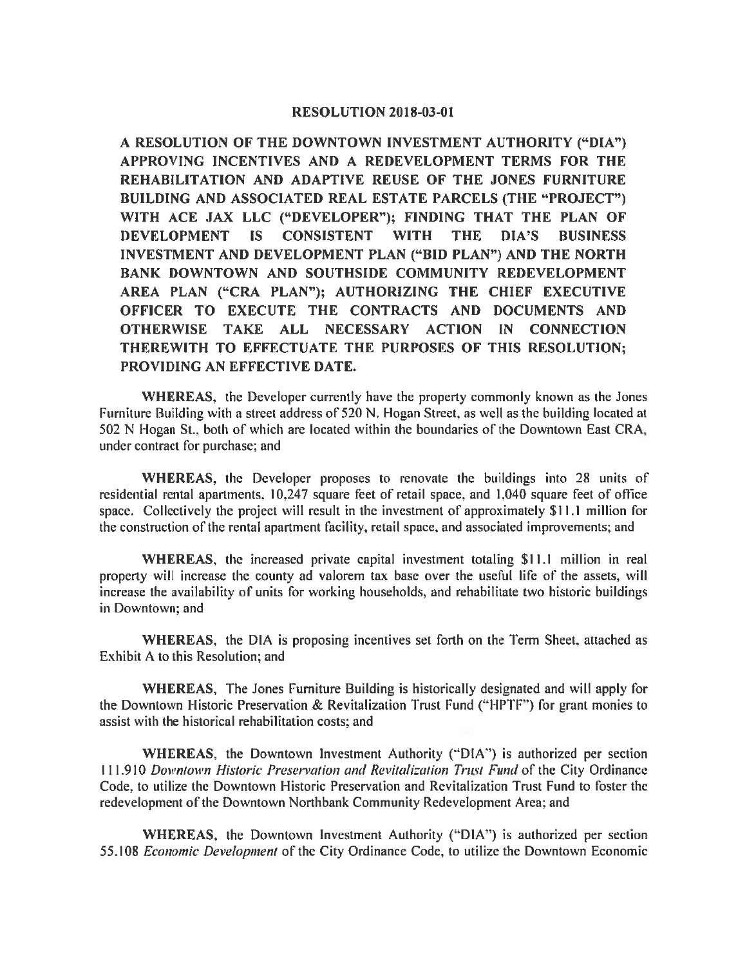## **RESOLUTION 2018-03-01**

A RESOLUTION OF THE DOWNTOWN INVESTMENT AUTHORITY ("DIA") APPROVING INCENTIVES AND A REDEVELOPMENT TERMS FOR THE REHABILITATION AND ADAPTIVE REUSE OF THE JONES FURNITURE **BUILDING AND ASSOCIATED REAL ESTATE PARCELS (THE "PROJECT")** WITH ACE JAX LLC ("DEVELOPER"); FINDING THAT THE PLAN OF **WITH DEVELOPMENT** IS<sup>1</sup> **CONSISTENT THE** DIA'S **BUSINESS** INVESTMENT AND DEVELOPMENT PLAN ("BID PLAN") AND THE NORTH BANK DOWNTOWN AND SOUTHSIDE COMMUNITY REDEVELOPMENT AREA PLAN ("CRA PLAN"); AUTHORIZING THE CHIEF EXECUTIVE OFFICER TO EXECUTE THE CONTRACTS AND DOCUMENTS AND OTHERWISE TAKE ALL NECESSARY ACTION IN CONNECTION THEREWITH TO EFFECTUATE THE PURPOSES OF THIS RESOLUTION; PROVIDING AN EFFECTIVE DATE.

**WHEREAS,** the Developer currently have the property commonly known as the Jones Furniture Building with a street address of 520 N. Hogan Street, as well as the building located at 502 N Hogan St., both of which are located within the boundaries of the Downtown East CRA, under contract for purchase; and

WHEREAS, the Developer proposes to renovate the buildings into 28 units of residential rental apartments, 10,247 square feet of retail space, and 1,040 square feet of office space. Collectively the project will result in the investment of approximately \$11.1 million for the construction of the rental apartment facility, retail space, and associated improvements; and

WHEREAS, the increased private capital investment totaling \$11.1 million in real property will increase the county ad valorem tax base over the useful life of the assets, will increase the availability of units for working households, and rehabilitate two historic buildings in Downtown; and

WHEREAS, the DIA is proposing incentives set forth on the Term Sheet, attached as Exhibit A to this Resolution: and

**WHEREAS**, The Jones Furniture Building is historically designated and will apply for the Downtown Historic Preservation & Revitalization Trust Fund ("HPTF") for grant monies to assist with the historical rehabilitation costs; and

WHEREAS, the Downtown Investment Authority ("DIA") is authorized per section 111.910 Downtown Historic Preservation and Revitalization Trust Fund of the City Ordinance Code, to utilize the Downtown Historic Preservation and Revitalization Trust Fund to foster the redevelopment of the Downtown Northbank Community Redevelopment Area; and

WHEREAS, the Downtown Investment Authority ("DIA") is authorized per section 55.108 Economic Development of the City Ordinance Code, to utilize the Downtown Economic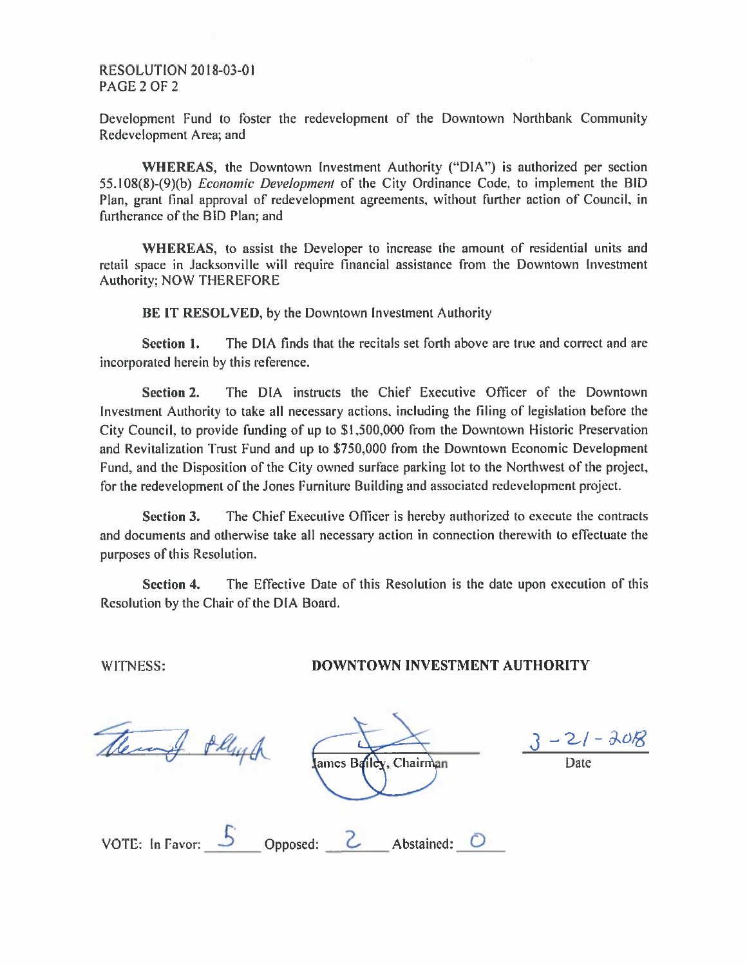## **RESOLUTION 2018-03-01** PAGE 2 OF 2

Development Fund to foster the redevelopment of the Downtown Northbank Community Redevelopment Area; and

WHEREAS, the Downtown Investment Authority ("DIA") is authorized per section 55.108(8)-(9)(b) *Economic Development* of the City Ordinance Code, to implement the BID Plan, grant final approval of redevelopment agreements, without further action of Council, in furtherance of the BID Plan: and

WHEREAS, to assist the Developer to increase the amount of residential units and retail space in Jacksonville will require financial assistance from the Downtown Investment Authority; NOW THEREFORE

BE IT RESOLVED, by the Downtown Investment Authority

The DIA finds that the recitals set forth above are true and correct and are Section 1. incorporated herein by this reference.

The DIA instructs the Chief Executive Officer of the Downtown **Section 2.** Investment Authority to take all necessary actions, including the filing of legislation before the City Council, to provide funding of up to \$1,500,000 from the Downtown Historic Preservation and Revitalization Trust Fund and up to \$750,000 from the Downtown Economic Development Fund, and the Disposition of the City owned surface parking lot to the Northwest of the project, for the redevelopment of the Jones Furniture Building and associated redevelopment project.

Section 3. The Chief Executive Officer is hereby authorized to execute the contracts and documents and otherwise take all necessary action in connection therewith to effectuate the purposes of this Resolution.

The Effective Date of this Resolution is the date upon execution of this Section 4. Resolution by the Chair of the DIA Board.

WITNESS:

## DOWNTOWN INVESTMENT AUTHORITY

There & Phys

lames Bailey, Chairman

 $-21 - 208$ 

|  | VOTE: In Favor: |  | Opposed: |  | Abstained: |  |
|--|-----------------|--|----------|--|------------|--|
|--|-----------------|--|----------|--|------------|--|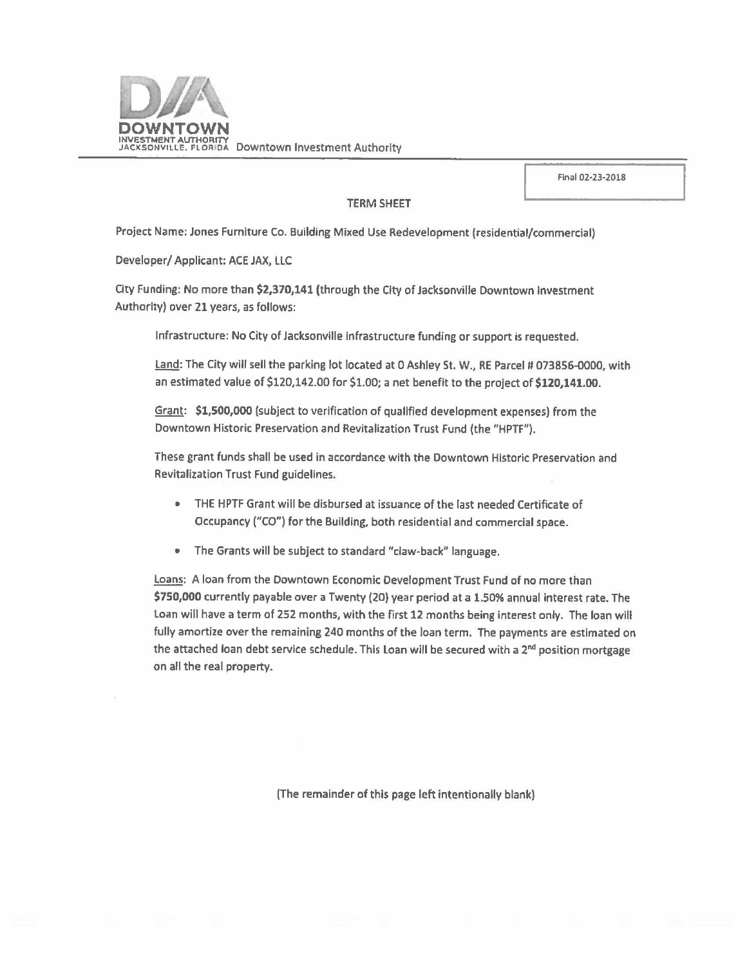

Final 02·23-2018

## TERM SHEET

Project Name: Jones Furniture Co. Building Mixed Use Redevelopment (residential/commercial)

Developer/ Applicant: ACE JAX, LLC

City Funding: No more than **\$2,370,141** (through the City of Jacksonville Downtown Investment Authority) over 21 years, as follows:

Infrastructure: No City of Jacksonville Infrastructure funding or support is requested.

Land: The City will sell the parking lot located at 0 Ashley St. W., RE Parcel # 073856-0000, with an estimated value of \$120,142.00 for \$1.00; a net benefit to the project of **\$120,141.00.** 

Grant: **\$1,500,000** (subject to verification of qualified development expenses) from the Downtown Historic Preservation and Revitalization Trust Fund (the "HPTF").

These grant funds shall be used in accordance with the Downtown Historic Preservation and Revitalization Trust Fund guidelines.

- THE HPTF Grant will be disbursed at issuance of the last needed Certificate of Occupancy ("CO") for the Building, both residential and commercial space.
- The Grants will be subject to standard "claw-back" language.

Loans: A loan from the Downtown Economic Development Trust Fund of no more than **\$750,000** currently payable over a Twenty (20) year period at a 1.50% annual Interest rate. The Loan will have a term of 252 months, with the first 12 months being interest only. The loan will fully amortize over the remaining 240 months of the loan term. The payments are estimated on the attached loan debt service schedule. This Loan will be secured with a  $2<sup>nd</sup>$  position mortgage on all the real property.

(The remainder of this page left intentionally blank}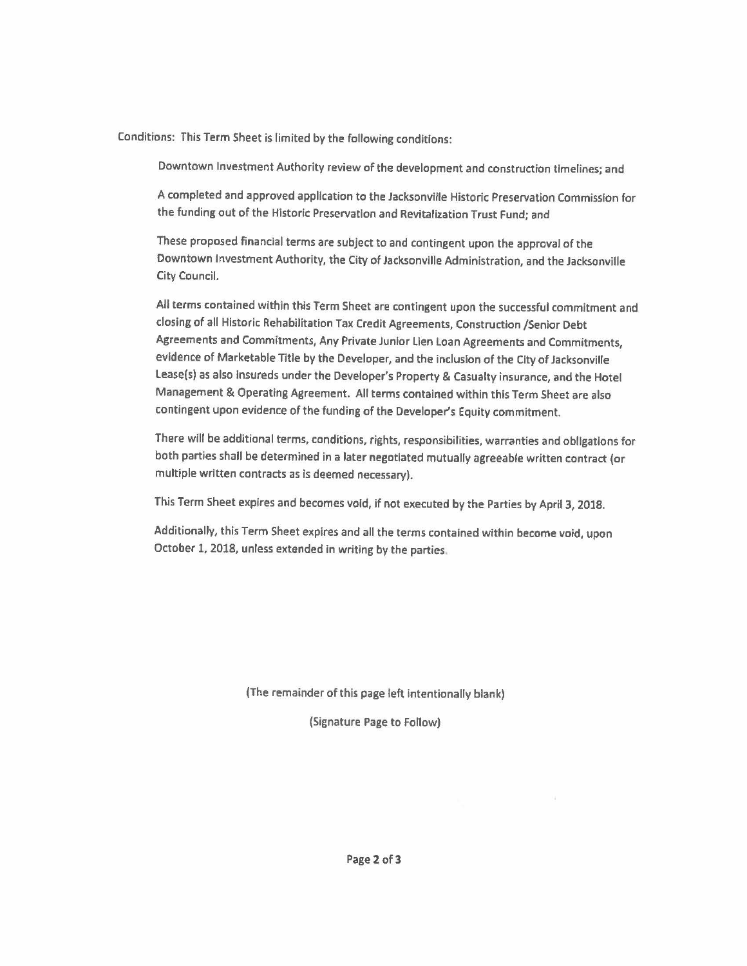Conditions: This Term Sheet is limited by the following conditions:

Downtown Investment Authority review of the development and construction tlmelines; and

A completed and approved application to the Jacksonville Historic Preservation Commission for the funding out of the Historic Preservation and Revitalization Trust Fund; and

These proposed financial terms are subject to and contingent upon the approval of the Downtown Investment Authority, the City of Jacksonville Administration, and the Jacksonville City Council.

All terms contained within this Term Sheet are contingent upon the successful commitment and closing of all Historic Rehabilitation Tax Credit Agreements, Construction /Senior Debt Agreements and Commitments, Any Private Junior Lien Loan Agreements and Commitments, evidence of Marketable Title by the Developer, and the inclusion of the City of Jacksonville Lease(s) as also insureds under the Developer's Property & Casualty insurance, and the Hotel Management & Operating Agreement. All terms contained within this Term Sheet are also contingent upon evidence of the funding of the Developer's Equity commitment.

There will be additional terms, conditions, rights, responsibilities, warranties and obligations for both parties shall be determined in a later negotiated mutually agreeable written contract (or multiple written contracts as is deemed necessary).

This Term Sheet expires and becomes void, if not executed by the Parties by April 3, 2018.

Additionally, this Term Sheet expires and all the terms contained within become void, upon October 1, 2018, unless extended in writing by the parties.

(The remainder of this **page** left intentionally blank)

(Signature **Page** to Follow)